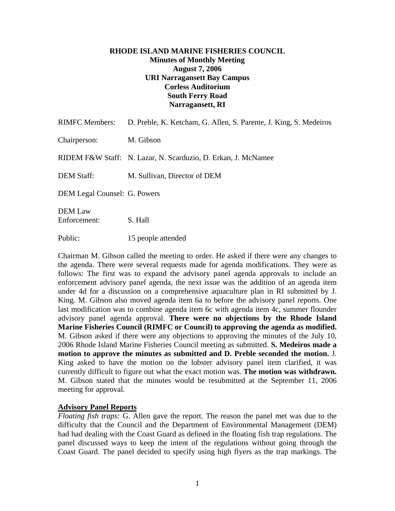### **RHODE ISLAND MARINE FISHERIES COUNCIL Minutes of Monthly Meeting August 7, 2006 URI Narragansett Bay Campus Corless Auditorium South Ferry Road Narragansett, RI**

| <b>RIMFC Members:</b>               | D. Preble, K. Ketcham, G. Allen, S. Parente, J. King, S. Medeiros |
|-------------------------------------|-------------------------------------------------------------------|
| Chairperson:                        | M. Gibson                                                         |
|                                     | RIDEM F&W Staff: N. Lazar, N. Scarduzio, D. Erkan, J. McNamee     |
| DEM Staff:                          | M. Sullivan, Director of DEM                                      |
| <b>DEM Legal Counsel: G. Powers</b> |                                                                   |
| <b>DEM Law</b><br>Enforcement:      | S. Hall                                                           |

Public: 15 people attended

Chairman M. Gibson called the meeting to order. He asked if there were any changes to the agenda. There were several requests made for agenda modifications. They were as follows: The first was to expand the advisory panel agenda approvals to include an enforcement advisory panel agenda, the next issue was the addition of an agenda item under 4d for a discussion on a comprehensive aquaculture plan in RI submitted by J. King. M. Gibson also moved agenda item 6a to before the advisory panel reports. One last modification was to combine agenda item 6c with agenda item 4c, summer flounder advisory panel agenda approval. **There were no objections by the Rhode Island Marine Fisheries Council (RIMFC or Council) to approving the agenda as modified.**  M. Gibson asked if there were any objections to approving the minutes of the July 10, 2006 Rhode Island Marine Fisheries Council meeting as submitted. **S. Medeiros made a motion to approve the minutes as submitted and D. Preble seconded the motion.** J. King asked to have the motion on the lobster advisory panel item clarified, it was currently difficult to figure out what the exact motion was. **The motion was withdrawn.**  M. Gibson stated that the minutes would be resubmitted at the September 11, 2006 meeting for approval.

#### **Advisory Panel Reports**

*Floating fish traps:* G. Allen gave the report. The reason the panel met was due to the difficulty that the Council and the Department of Environmental Management (DEM) had had dealing with the Coast Guard as defined in the floating fish trap regulations. The panel discussed ways to keep the intent of the regulations without going through the Coast Guard. The panel decided to specify using high flyers as the trap markings. The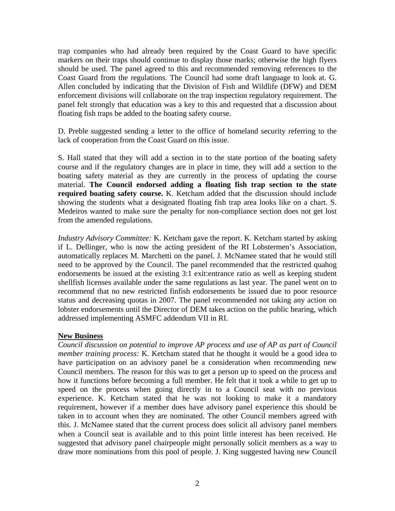trap companies who had already been required by the Coast Guard to have specific markers on their traps should continue to display those marks; otherwise the high flyers should be used. The panel agreed to this and recommended removing references to the Coast Guard from the regulations. The Council had some draft language to look at. G. Allen concluded by indicating that the Division of Fish and Wildlife (DFW) and DEM enforcement divisions will collaborate on the trap inspection regulatory requirement. The panel felt strongly that education was a key to this and requested that a discussion about floating fish traps be added to the boating safety course.

D. Preble suggested sending a letter to the office of homeland security referring to the lack of cooperation from the Coast Guard on this issue.

S. Hall stated that they will add a section in to the state portion of the boating safety course and if the regulatory changes are in place in time, they will add a section to the boating safety material as they are currently in the process of updating the course material. **The Council endorsed adding a floating fish trap section to the state required boating safety course.** K. Ketcham added that the discussion should include showing the students what a designated floating fish trap area looks like on a chart. S. Medeiros wanted to make sure the penalty for non-compliance section does not get lost from the amended regulations.

*Industry Advisory Committee:* K. Ketcham gave the report. K. Ketcham started by asking if L. Dellinger, who is now the acting president of the RI Lobstermen's Association, automatically replaces M. Marchetti on the panel. J. McNamee stated that he would still need to be approved by the Council. The panel recommended that the restricted quahog endorsements be issued at the existing 3:1 exit:entrance ratio as well as keeping student shellfish licenses available under the same regulations as last year. The panel went on to recommend that no new restricted finfish endorsements be issued due to poor resource status and decreasing quotas in 2007. The panel recommended not taking any action on lobster endorsements until the Director of DEM takes action on the public hearing, which addressed implementing ASMFC addendum VII in RI.

#### **New Business**

*Council discussion on potential to improve AP process and use of AP as part of Council member training process:* K. Ketcham stated that he thought it would be a good idea to have participation on an advisory panel be a consideration when recommending new Council members. The reason for this was to get a person up to speed on the process and how it functions before becoming a full member. He felt that it took a while to get up to speed on the process when going directly in to a Council seat with no previous experience. K. Ketcham stated that he was not looking to make it a mandatory requirement, however if a member does have advisory panel experience this should be taken in to account when they are nominated. The other Council members agreed with this. J. McNamee stated that the current process does solicit all advisory panel members when a Council seat is available and to this point little interest has been received. He suggested that advisory panel chairpeople might personally solicit members as a way to draw more nominations from this pool of people. J. King suggested having new Council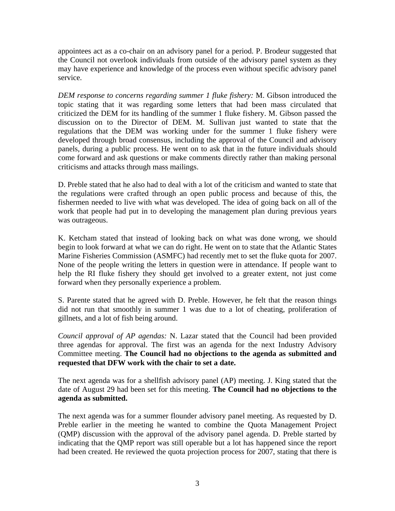appointees act as a co-chair on an advisory panel for a period. P. Brodeur suggested that the Council not overlook individuals from outside of the advisory panel system as they may have experience and knowledge of the process even without specific advisory panel service.

*DEM response to concerns regarding summer 1 fluke fishery:* M. Gibson introduced the topic stating that it was regarding some letters that had been mass circulated that criticized the DEM for its handling of the summer 1 fluke fishery. M. Gibson passed the discussion on to the Director of DEM. M. Sullivan just wanted to state that the regulations that the DEM was working under for the summer 1 fluke fishery were developed through broad consensus, including the approval of the Council and advisory panels, during a public process. He went on to ask that in the future individuals should come forward and ask questions or make comments directly rather than making personal criticisms and attacks through mass mailings.

D. Preble stated that he also had to deal with a lot of the criticism and wanted to state that the regulations were crafted through an open public process and because of this, the fishermen needed to live with what was developed. The idea of going back on all of the work that people had put in to developing the management plan during previous years was outrageous.

K. Ketcham stated that instead of looking back on what was done wrong, we should begin to look forward at what we can do right. He went on to state that the Atlantic States Marine Fisheries Commission (ASMFC) had recently met to set the fluke quota for 2007. None of the people writing the letters in question were in attendance. If people want to help the RI fluke fishery they should get involved to a greater extent, not just come forward when they personally experience a problem.

S. Parente stated that he agreed with D. Preble. However, he felt that the reason things did not run that smoothly in summer 1 was due to a lot of cheating, proliferation of gillnets, and a lot of fish being around.

*Council approval of AP agendas:* N. Lazar stated that the Council had been provided three agendas for approval. The first was an agenda for the next Industry Advisory Committee meeting. **The Council had no objections to the agenda as submitted and requested that DFW work with the chair to set a date.**

The next agenda was for a shellfish advisory panel (AP) meeting. J. King stated that the date of August 29 had been set for this meeting. **The Council had no objections to the agenda as submitted.** 

The next agenda was for a summer flounder advisory panel meeting. As requested by D. Preble earlier in the meeting he wanted to combine the Quota Management Project (QMP) discussion with the approval of the advisory panel agenda. D. Preble started by indicating that the QMP report was still operable but a lot has happened since the report had been created. He reviewed the quota projection process for 2007, stating that there is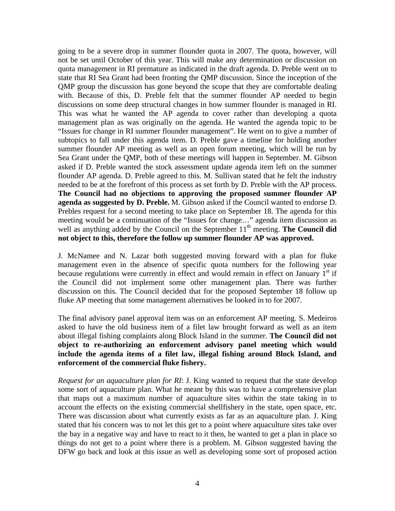going to be a severe drop in summer flounder quota in 2007. The quota, however, will not be set until October of this year. This will make any determination or discussion on quota management in RI premature as indicated in the draft agenda. D. Preble went on to state that RI Sea Grant had been fronting the QMP discussion. Since the inception of the QMP group the discussion has gone beyond the scope that they are comfortable dealing with. Because of this, D. Preble felt that the summer flounder AP needed to begin discussions on some deep structural changes in how summer flounder is managed in RI. This was what he wanted the AP agenda to cover rather than developing a quota management plan as was originally on the agenda. He wanted the agenda topic to be "Issues for change in RI summer flounder management". He went on to give a number of subtopics to fall under this agenda item. D. Preble gave a timeline for holding another summer flounder AP meeting as well as an open forum meeting, which will be run by Sea Grant under the QMP, both of these meetings will happen in September. M. Gibson asked if D. Preble wanted the stock assessment update agenda item left on the summer flounder AP agenda. D. Preble agreed to this. M. Sullivan stated that he felt the industry needed to be at the forefront of this process as set forth by D. Preble with the AP process. **The Council had no objections to approving the proposed summer flounder AP agenda as suggested by D. Preble.** M. Gibson asked if the Council wanted to endorse D. Prebles request for a second meeting to take place on September 18. The agenda for this meeting would be a continuation of the "Issues for change…" agenda item discussion as well as anything added by the Council on the September 11<sup>th</sup> meeting. **The Council did not object to this, therefore the follow up summer flounder AP was approved.**

J. McNamee and N. Lazar both suggested moving forward with a plan for fluke management even in the absence of specific quota numbers for the following year because regulations were currently in effect and would remain in effect on January  $1<sup>st</sup>$  if the Council did not implement some other management plan. There was further discussion on this. The Council decided that for the proposed September 18 follow up fluke AP meeting that some management alternatives be looked in to for 2007.

The final advisory panel approval item was on an enforcement AP meeting. S. Medeiros asked to have the old business item of a filet law brought forward as well as an item about illegal fishing complaints along Block Island in the summer. **The Council did not object to re-authorizing an enforcement advisory panel meeting which would include the agenda items of a filet law, illegal fishing around Block Island, and enforcement of the commercial fluke fishery.** 

*Request for an aquaculture plan for RI*: J. King wanted to request that the state develop some sort of aquaculture plan. What he meant by this was to have a comprehensive plan that maps out a maximum number of aquaculture sites within the state taking in to account the effects on the existing commercial shellfishery in the state, open space, etc. There was discussion about what currently exists as far as an aquaculture plan. J. King stated that his concern was to not let this get to a point where aquaculture sites take over the bay in a negative way and have to react to it then, he wanted to get a plan in place so things do not get to a point where there is a problem. M. Gibson suggested having the DFW go back and look at this issue as well as developing some sort of proposed action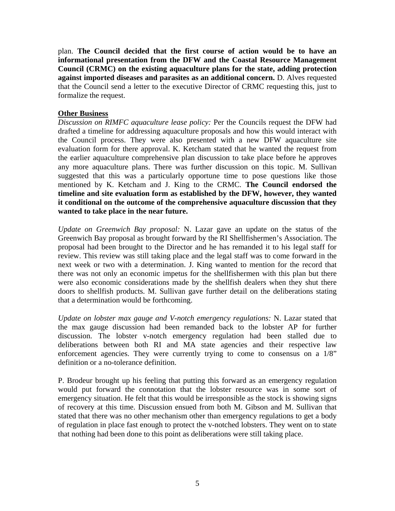plan. **The Council decided that the first course of action would be to have an informational presentation from the DFW and the Coastal Resource Management Council (CRMC) on the existing aquaculture plans for the state, adding protection against imported diseases and parasites as an additional concern.** D. Alves requested that the Council send a letter to the executive Director of CRMC requesting this, just to formalize the request.

## **Other Business**

*Discussion on RIMFC aquaculture lease policy:* Per the Councils request the DFW had drafted a timeline for addressing aquaculture proposals and how this would interact with the Council process. They were also presented with a new DFW aquaculture site evaluation form for there approval. K. Ketcham stated that he wanted the request from the earlier aquaculture comprehensive plan discussion to take place before he approves any more aquaculture plans. There was further discussion on this topic. M. Sullivan suggested that this was a particularly opportune time to pose questions like those mentioned by K. Ketcham and J. King to the CRMC. **The Council endorsed the timeline and site evaluation form as established by the DFW, however, they wanted it conditional on the outcome of the comprehensive aquaculture discussion that they wanted to take place in the near future.**

*Update on Greenwich Bay proposal:* N. Lazar gave an update on the status of the Greenwich Bay proposal as brought forward by the RI Shellfishermen's Association. The proposal had been brought to the Director and he has remanded it to his legal staff for review. This review was still taking place and the legal staff was to come forward in the next week or two with a determination. J. King wanted to mention for the record that there was not only an economic impetus for the shellfishermen with this plan but there were also economic considerations made by the shellfish dealers when they shut there doors to shellfish products. M. Sullivan gave further detail on the deliberations stating that a determination would be forthcoming.

*Update on lobster max gauge and V-notch emergency regulations:* N. Lazar stated that the max gauge discussion had been remanded back to the lobster AP for further discussion. The lobster v-notch emergency regulation had been stalled due to deliberations between both RI and MA state agencies and their respective law enforcement agencies. They were currently trying to come to consensus on a  $1/8$ " definition or a no-tolerance definition.

P. Brodeur brought up his feeling that putting this forward as an emergency regulation would put forward the connotation that the lobster resource was in some sort of emergency situation. He felt that this would be irresponsible as the stock is showing signs of recovery at this time. Discussion ensued from both M. Gibson and M. Sullivan that stated that there was no other mechanism other than emergency regulations to get a body of regulation in place fast enough to protect the v-notched lobsters. They went on to state that nothing had been done to this point as deliberations were still taking place.